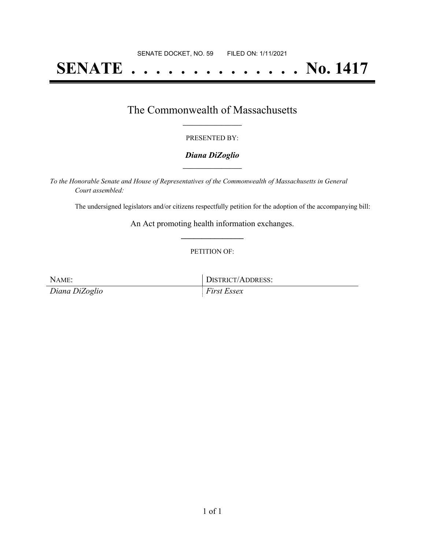# **SENATE . . . . . . . . . . . . . . No. 1417**

### The Commonwealth of Massachusetts **\_\_\_\_\_\_\_\_\_\_\_\_\_\_\_\_\_**

#### PRESENTED BY:

#### *Diana DiZoglio* **\_\_\_\_\_\_\_\_\_\_\_\_\_\_\_\_\_**

*To the Honorable Senate and House of Representatives of the Commonwealth of Massachusetts in General Court assembled:*

The undersigned legislators and/or citizens respectfully petition for the adoption of the accompanying bill:

An Act promoting health information exchanges. **\_\_\_\_\_\_\_\_\_\_\_\_\_\_\_**

#### PETITION OF:

*Diana DiZoglio First Essex*

NAME: DISTRICT/ADDRESS: